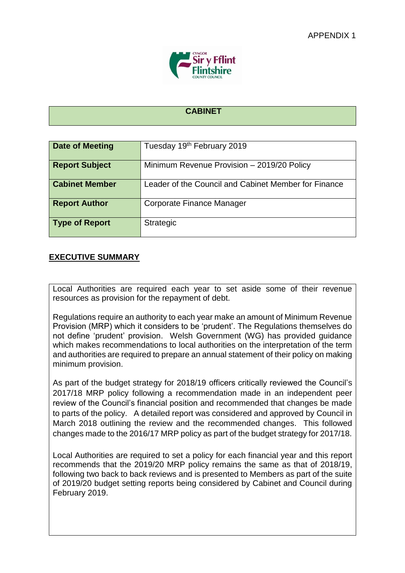

## **CABINET**

| <b>Date of Meeting</b> | Tuesday 19 <sup>th</sup> February 2019               |
|------------------------|------------------------------------------------------|
| <b>Report Subject</b>  | Minimum Revenue Provision - 2019/20 Policy           |
| <b>Cabinet Member</b>  | Leader of the Council and Cabinet Member for Finance |
| <b>Report Author</b>   | Corporate Finance Manager                            |
| Type of Report         | Strategic                                            |

## **EXECUTIVE SUMMARY**

Local Authorities are required each year to set aside some of their revenue resources as provision for the repayment of debt.

Regulations require an authority to each year make an amount of Minimum Revenue Provision (MRP) which it considers to be 'prudent'. The Regulations themselves do not define 'prudent' provision. Welsh Government (WG) has provided guidance which makes recommendations to local authorities on the interpretation of the term and authorities are required to prepare an annual statement of their policy on making minimum provision.

As part of the budget strategy for 2018/19 officers critically reviewed the Council's 2017/18 MRP policy following a recommendation made in an independent peer review of the Council's financial position and recommended that changes be made to parts of the policy. A detailed report was considered and approved by Council in March 2018 outlining the review and the recommended changes. This followed changes made to the 2016/17 MRP policy as part of the budget strategy for 2017/18.

Local Authorities are required to set a policy for each financial year and this report recommends that the 2019/20 MRP policy remains the same as that of 2018/19, following two back to back reviews and is presented to Members as part of the suite of 2019/20 budget setting reports being considered by Cabinet and Council during February 2019.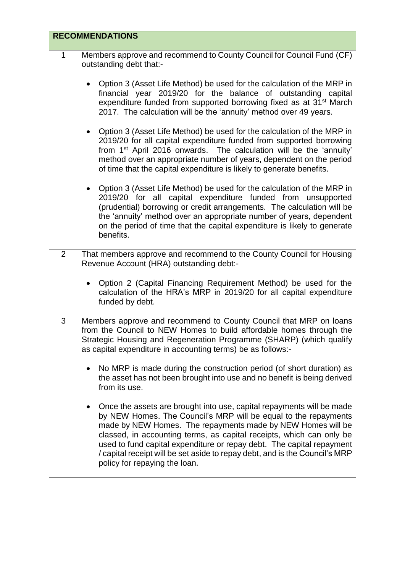|                | <b>RECOMMENDATIONS</b>                                                                                                                                                                                                                                                                                                                                                                                                                                                   |  |
|----------------|--------------------------------------------------------------------------------------------------------------------------------------------------------------------------------------------------------------------------------------------------------------------------------------------------------------------------------------------------------------------------------------------------------------------------------------------------------------------------|--|
| $\mathbf{1}$   | Members approve and recommend to County Council for Council Fund (CF)<br>outstanding debt that:-                                                                                                                                                                                                                                                                                                                                                                         |  |
|                | Option 3 (Asset Life Method) be used for the calculation of the MRP in<br>financial year 2019/20 for the balance of outstanding capital<br>expenditure funded from supported borrowing fixed as at 31 <sup>st</sup> March<br>2017. The calculation will be the 'annuity' method over 49 years.                                                                                                                                                                           |  |
|                | Option 3 (Asset Life Method) be used for the calculation of the MRP in<br>2019/20 for all capital expenditure funded from supported borrowing<br>from 1 <sup>st</sup> April 2016 onwards. The calculation will be the 'annuity'<br>method over an appropriate number of years, dependent on the period<br>of time that the capital expenditure is likely to generate benefits.                                                                                           |  |
|                | Option 3 (Asset Life Method) be used for the calculation of the MRP in<br>2019/20 for all capital expenditure funded from unsupported<br>(prudential) borrowing or credit arrangements. The calculation will be<br>the 'annuity' method over an appropriate number of years, dependent<br>on the period of time that the capital expenditure is likely to generate<br>benefits.                                                                                          |  |
| $\overline{2}$ | That members approve and recommend to the County Council for Housing<br>Revenue Account (HRA) outstanding debt:-                                                                                                                                                                                                                                                                                                                                                         |  |
|                | • Option 2 (Capital Financing Requirement Method) be used for the<br>calculation of the HRA's MRP in 2019/20 for all capital expenditure<br>funded by debt.                                                                                                                                                                                                                                                                                                              |  |
| 3              | Members approve and recommend to County Council that MRP on loans<br>from the Council to NEW Homes to build affordable homes through the<br>Strategic Housing and Regeneration Programme (SHARP) (which qualify<br>as capital expenditure in accounting terms) be as follows:-                                                                                                                                                                                           |  |
|                | No MRP is made during the construction period (of short duration) as<br>$\bullet$<br>the asset has not been brought into use and no benefit is being derived<br>from its use.                                                                                                                                                                                                                                                                                            |  |
|                | Once the assets are brought into use, capital repayments will be made<br>by NEW Homes. The Council's MRP will be equal to the repayments<br>made by NEW Homes. The repayments made by NEW Homes will be<br>classed, in accounting terms, as capital receipts, which can only be<br>used to fund capital expenditure or repay debt. The capital repayment<br>/ capital receipt will be set aside to repay debt, and is the Council's MRP<br>policy for repaying the loan. |  |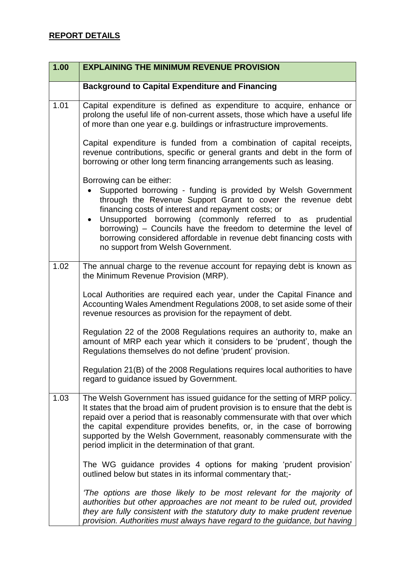| 1.00 | <b>EXPLAINING THE MINIMUM REVENUE PROVISION</b>                                                                                                                                                                                                                                                                                                                                                                                                               |
|------|---------------------------------------------------------------------------------------------------------------------------------------------------------------------------------------------------------------------------------------------------------------------------------------------------------------------------------------------------------------------------------------------------------------------------------------------------------------|
|      | <b>Background to Capital Expenditure and Financing</b>                                                                                                                                                                                                                                                                                                                                                                                                        |
| 1.01 | Capital expenditure is defined as expenditure to acquire, enhance or<br>prolong the useful life of non-current assets, those which have a useful life<br>of more than one year e.g. buildings or infrastructure improvements.                                                                                                                                                                                                                                 |
|      | Capital expenditure is funded from a combination of capital receipts,<br>revenue contributions, specific or general grants and debt in the form of<br>borrowing or other long term financing arrangements such as leasing.                                                                                                                                                                                                                                    |
|      | Borrowing can be either:<br>Supported borrowing - funding is provided by Welsh Government<br>through the Revenue Support Grant to cover the revenue debt<br>financing costs of interest and repayment costs; or<br>Unsupported borrowing (commonly referred to as prudential<br>borrowing) - Councils have the freedom to determine the level of<br>borrowing considered affordable in revenue debt financing costs with<br>no support from Welsh Government. |
| 1.02 | The annual charge to the revenue account for repaying debt is known as<br>the Minimum Revenue Provision (MRP).                                                                                                                                                                                                                                                                                                                                                |
|      | Local Authorities are required each year, under the Capital Finance and<br>Accounting Wales Amendment Regulations 2008, to set aside some of their<br>revenue resources as provision for the repayment of debt.                                                                                                                                                                                                                                               |
|      | Regulation 22 of the 2008 Regulations requires an authority to, make an<br>amount of MRP each year which it considers to be 'prudent', though the<br>Regulations themselves do not define 'prudent' provision.                                                                                                                                                                                                                                                |
|      | Regulation 21(B) of the 2008 Regulations requires local authorities to have<br>regard to guidance issued by Government.                                                                                                                                                                                                                                                                                                                                       |
| 1.03 | The Welsh Government has issued guidance for the setting of MRP policy.<br>It states that the broad aim of prudent provision is to ensure that the debt is<br>repaid over a period that is reasonably commensurate with that over which<br>the capital expenditure provides benefits, or, in the case of borrowing<br>supported by the Welsh Government, reasonably commensurate with the<br>period implicit in the determination of that grant.              |
|      | The WG guidance provides 4 options for making 'prudent provision'<br>outlined below but states in its informal commentary that;-                                                                                                                                                                                                                                                                                                                              |
|      | 'The options are those likely to be most relevant for the majority of<br>authorities but other approaches are not meant to be ruled out, provided<br>they are fully consistent with the statutory duty to make prudent revenue<br>provision. Authorities must always have regard to the guidance, but having                                                                                                                                                  |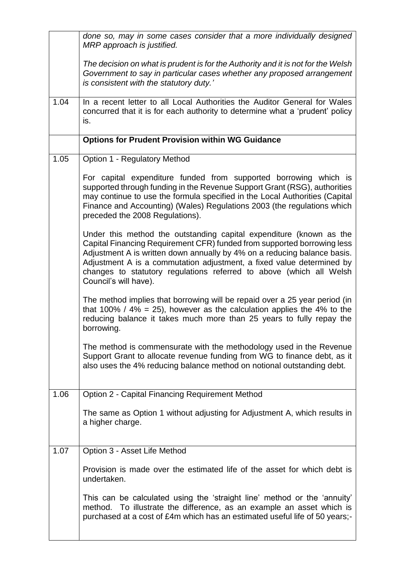|      | done so, may in some cases consider that a more individually designed<br>MRP approach is justified.                                                                                                                                                                                                                                                                                                 |
|------|-----------------------------------------------------------------------------------------------------------------------------------------------------------------------------------------------------------------------------------------------------------------------------------------------------------------------------------------------------------------------------------------------------|
|      | The decision on what is prudent is for the Authority and it is not for the Welsh<br>Government to say in particular cases whether any proposed arrangement<br>is consistent with the statutory duty.'                                                                                                                                                                                               |
| 1.04 | In a recent letter to all Local Authorities the Auditor General for Wales<br>concurred that it is for each authority to determine what a 'prudent' policy<br>is.                                                                                                                                                                                                                                    |
|      | <b>Options for Prudent Provision within WG Guidance</b>                                                                                                                                                                                                                                                                                                                                             |
| 1.05 | Option 1 - Regulatory Method                                                                                                                                                                                                                                                                                                                                                                        |
|      | For capital expenditure funded from supported borrowing which is<br>supported through funding in the Revenue Support Grant (RSG), authorities<br>may continue to use the formula specified in the Local Authorities (Capital<br>Finance and Accounting) (Wales) Regulations 2003 (the regulations which<br>preceded the 2008 Regulations).                                                          |
|      | Under this method the outstanding capital expenditure (known as the<br>Capital Financing Requirement CFR) funded from supported borrowing less<br>Adjustment A is written down annually by 4% on a reducing balance basis.<br>Adjustment A is a commutation adjustment, a fixed value determined by<br>changes to statutory regulations referred to above (which all Welsh<br>Council's will have). |
|      | The method implies that borrowing will be repaid over a 25 year period (in<br>that 100% / 4% = 25), however as the calculation applies the 4% to the<br>reducing balance it takes much more than 25 years to fully repay the<br>borrowing.                                                                                                                                                          |
|      | The method is commensurate with the methodology used in the Revenue<br>Support Grant to allocate revenue funding from WG to finance debt, as it<br>also uses the 4% reducing balance method on notional outstanding debt.                                                                                                                                                                           |
| 1.06 | Option 2 - Capital Financing Requirement Method                                                                                                                                                                                                                                                                                                                                                     |
|      | The same as Option 1 without adjusting for Adjustment A, which results in<br>a higher charge.                                                                                                                                                                                                                                                                                                       |
| 1.07 | Option 3 - Asset Life Method                                                                                                                                                                                                                                                                                                                                                                        |
|      | Provision is made over the estimated life of the asset for which debt is<br>undertaken.                                                                                                                                                                                                                                                                                                             |
|      | This can be calculated using the 'straight line' method or the 'annuity'<br>To illustrate the difference, as an example an asset which is<br>method.<br>purchased at a cost of £4m which has an estimated useful life of 50 years;-                                                                                                                                                                 |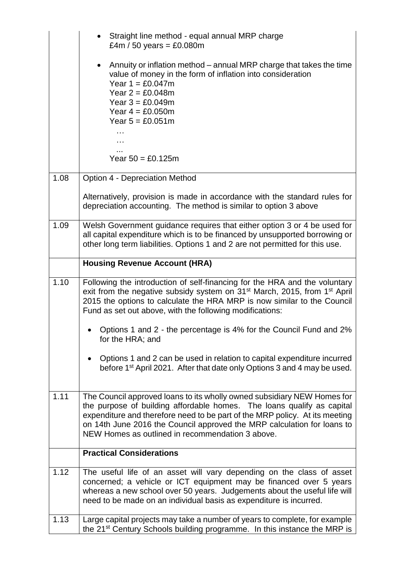|      | Straight line method - equal annual MRP charge<br>£4m / 50 years = £0.080m                                                                                                                                                                                                                                                                                      |
|------|-----------------------------------------------------------------------------------------------------------------------------------------------------------------------------------------------------------------------------------------------------------------------------------------------------------------------------------------------------------------|
|      | Annuity or inflation method – annual MRP charge that takes the time<br>$\bullet$<br>value of money in the form of inflation into consideration<br>Year $1 = £0.047m$<br>Year $2 = £0.048m$<br>Year $3 = £0.049m$<br>Year $4 = £0.050m$<br>Year $5 = £0.051m$                                                                                                    |
|      | Year $50 = £0.125m$                                                                                                                                                                                                                                                                                                                                             |
| 1.08 | Option 4 - Depreciation Method                                                                                                                                                                                                                                                                                                                                  |
|      | Alternatively, provision is made in accordance with the standard rules for<br>depreciation accounting. The method is similar to option 3 above                                                                                                                                                                                                                  |
| 1.09 | Welsh Government guidance requires that either option 3 or 4 be used for<br>all capital expenditure which is to be financed by unsupported borrowing or<br>other long term liabilities. Options 1 and 2 are not permitted for this use.                                                                                                                         |
|      | <b>Housing Revenue Account (HRA)</b>                                                                                                                                                                                                                                                                                                                            |
| 1.10 | Following the introduction of self-financing for the HRA and the voluntary<br>exit from the negative subsidy system on 31 <sup>st</sup> March, 2015, from 1 <sup>st</sup> April<br>2015 the options to calculate the HRA MRP is now similar to the Council<br>Fund as set out above, with the following modifications:                                          |
|      | Options 1 and 2 - the percentage is 4% for the Council Fund and 2%<br>for the HRA; and                                                                                                                                                                                                                                                                          |
|      | Options 1 and 2 can be used in relation to capital expenditure incurred<br>before 1 <sup>st</sup> April 2021. After that date only Options 3 and 4 may be used.                                                                                                                                                                                                 |
| 1.11 | The Council approved loans to its wholly owned subsidiary NEW Homes for<br>the purpose of building affordable homes. The loans qualify as capital<br>expenditure and therefore need to be part of the MRP policy. At its meeting<br>on 14th June 2016 the Council approved the MRP calculation for loans to<br>NEW Homes as outlined in recommendation 3 above. |
|      | <b>Practical Considerations</b>                                                                                                                                                                                                                                                                                                                                 |
| 1.12 | The useful life of an asset will vary depending on the class of asset<br>concerned; a vehicle or ICT equipment may be financed over 5 years<br>whereas a new school over 50 years. Judgements about the useful life will                                                                                                                                        |
|      | need to be made on an individual basis as expenditure is incurred.                                                                                                                                                                                                                                                                                              |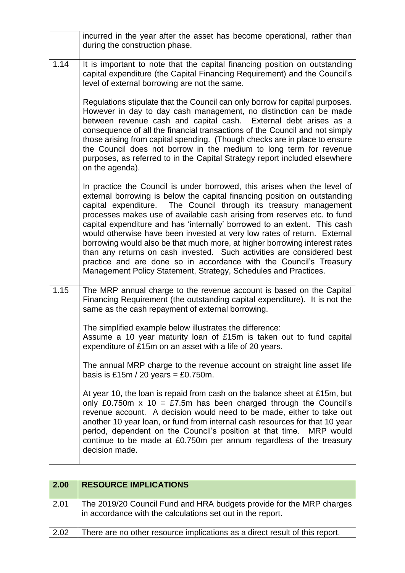|      | incurred in the year after the asset has become operational, rather than<br>during the construction phase.                                                                                                                                                                                                                                                                                                                                                                                                                                                                                                                                                                                                                                                      |
|------|-----------------------------------------------------------------------------------------------------------------------------------------------------------------------------------------------------------------------------------------------------------------------------------------------------------------------------------------------------------------------------------------------------------------------------------------------------------------------------------------------------------------------------------------------------------------------------------------------------------------------------------------------------------------------------------------------------------------------------------------------------------------|
| 1.14 | It is important to note that the capital financing position on outstanding<br>capital expenditure (the Capital Financing Requirement) and the Council's<br>level of external borrowing are not the same.                                                                                                                                                                                                                                                                                                                                                                                                                                                                                                                                                        |
|      | Regulations stipulate that the Council can only borrow for capital purposes.<br>However in day to day cash management, no distinction can be made<br>between revenue cash and capital cash. External debt arises as a<br>consequence of all the financial transactions of the Council and not simply<br>those arising from capital spending. (Though checks are in place to ensure<br>the Council does not borrow in the medium to long term for revenue<br>purposes, as referred to in the Capital Strategy report included elsewhere<br>on the agenda).                                                                                                                                                                                                       |
|      | In practice the Council is under borrowed, this arises when the level of<br>external borrowing is below the capital financing position on outstanding<br>capital expenditure. The Council through its treasury management<br>processes makes use of available cash arising from reserves etc. to fund<br>capital expenditure and has 'internally' borrowed to an extent. This cash<br>would otherwise have been invested at very low rates of return. External<br>borrowing would also be that much more, at higher borrowing interest rates<br>than any returns on cash invested. Such activities are considered best<br>practice and are done so in accordance with the Council's Treasury<br>Management Policy Statement, Strategy, Schedules and Practices. |
| 1.15 | The MRP annual charge to the revenue account is based on the Capital<br>Financing Requirement (the outstanding capital expenditure). It is not the<br>same as the cash repayment of external borrowing.                                                                                                                                                                                                                                                                                                                                                                                                                                                                                                                                                         |
|      | The simplified example below illustrates the difference:<br>Assume a 10 year maturity loan of £15m is taken out to fund capital<br>expenditure of £15m on an asset with a life of 20 years.                                                                                                                                                                                                                                                                                                                                                                                                                                                                                                                                                                     |
|      | The annual MRP charge to the revenue account on straight line asset life<br>basis is £15m / 20 years = £0.750m.                                                                                                                                                                                                                                                                                                                                                                                                                                                                                                                                                                                                                                                 |
|      | At year 10, the loan is repaid from cash on the balance sheet at £15m, but<br>only £0.750m $x$ 10 = £7.5m has been charged through the Council's<br>revenue account. A decision would need to be made, either to take out<br>another 10 year loan, or fund from internal cash resources for that 10 year<br>period, dependent on the Council's position at that time. MRP would<br>continue to be made at £0.750m per annum regardless of the treasury<br>decision made.                                                                                                                                                                                                                                                                                        |

| 2.00 | <b>RESOURCE IMPLICATIONS</b>                                                                                                       |
|------|------------------------------------------------------------------------------------------------------------------------------------|
| 2.01 | The 2019/20 Council Fund and HRA budgets provide for the MRP charges<br>in accordance with the calculations set out in the report. |
| 2.02 | There are no other resource implications as a direct result of this report.                                                        |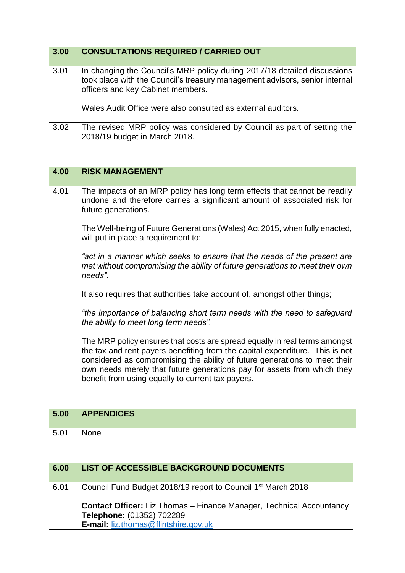| 3.00 | <b>CONSULTATIONS REQUIRED / CARRIED OUT</b>                                                                                                                                                                                                                  |
|------|--------------------------------------------------------------------------------------------------------------------------------------------------------------------------------------------------------------------------------------------------------------|
| 3.01 | In changing the Council's MRP policy during 2017/18 detailed discussions<br>took place with the Council's treasury management advisors, senior internal<br>officers and key Cabinet members.<br>Wales Audit Office were also consulted as external auditors. |
| 3.02 | The revised MRP policy was considered by Council as part of setting the<br>2018/19 budget in March 2018.                                                                                                                                                     |

| 4.00 | <b>RISK MANAGEMENT</b>                                                                                                                                                                                                                                                                                                                                                   |
|------|--------------------------------------------------------------------------------------------------------------------------------------------------------------------------------------------------------------------------------------------------------------------------------------------------------------------------------------------------------------------------|
| 4.01 | The impacts of an MRP policy has long term effects that cannot be readily<br>undone and therefore carries a significant amount of associated risk for<br>future generations.                                                                                                                                                                                             |
|      | The Well-being of Future Generations (Wales) Act 2015, when fully enacted,<br>will put in place a requirement to;                                                                                                                                                                                                                                                        |
|      | "act in a manner which seeks to ensure that the needs of the present are<br>met without compromising the ability of future generations to meet their own<br>needs".                                                                                                                                                                                                      |
|      | It also requires that authorities take account of, amongst other things;                                                                                                                                                                                                                                                                                                 |
|      | "the importance of balancing short term needs with the need to safeguard<br>the ability to meet long term needs".                                                                                                                                                                                                                                                        |
|      | The MRP policy ensures that costs are spread equally in real terms amongst<br>the tax and rent payers benefiting from the capital expenditure. This is not<br>considered as compromising the ability of future generations to meet their<br>own needs merely that future generations pay for assets from which they<br>benefit from using equally to current tax payers. |

| 5.00 | <b>APPENDICES</b> |
|------|-------------------|
| 5.01 | None              |

| 6.00 | LIST OF ACCESSIBLE BACKGROUND DOCUMENTS                                                                  |
|------|----------------------------------------------------------------------------------------------------------|
| 6.01 | Council Fund Budget 2018/19 report to Council 1 <sup>st</sup> March 2018                                 |
|      | <b>Contact Officer:</b> Liz Thomas – Finance Manager, Technical Accountancy<br>Telephone: (01352) 702289 |
|      | <b>E-mail: liz.thomas@flintshire.gov.uk</b>                                                              |